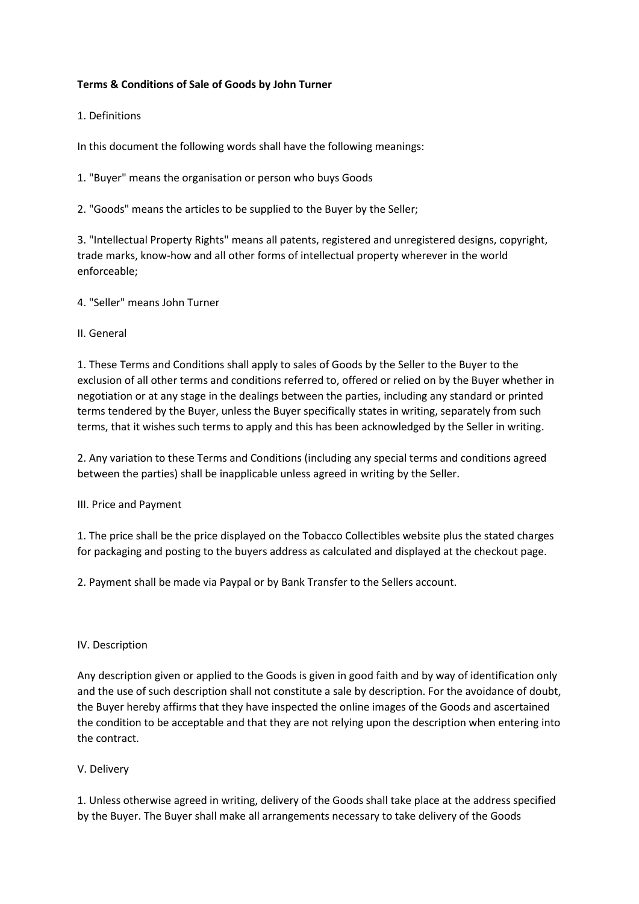# **Terms & Conditions of Sale of Goods by John Turner**

1. Definitions

In this document the following words shall have the following meanings:

1. "Buyer" means the organisation or person who buys Goods

2. "Goods" means the articles to be supplied to the Buyer by the Seller;

3. "Intellectual Property Rights" means all patents, registered and unregistered designs, copyright, trade marks, know-how and all other forms of intellectual property wherever in the world enforceable;

4. "Seller" means John Turner

II. General

1. These Terms and Conditions shall apply to sales of Goods by the Seller to the Buyer to the exclusion of all other terms and conditions referred to, offered or relied on by the Buyer whether in negotiation or at any stage in the dealings between the parties, including any standard or printed terms tendered by the Buyer, unless the Buyer specifically states in writing, separately from such terms, that it wishes such terms to apply and this has been acknowledged by the Seller in writing.

2. Any variation to these Terms and Conditions (including any special terms and conditions agreed between the parties) shall be inapplicable unless agreed in writing by the Seller.

III. Price and Payment

1. The price shall be the price displayed on the Tobacco Collectibles website plus the stated charges for packaging and posting to the buyers address as calculated and displayed at the checkout page.

2. Payment shall be made via Paypal or by Bank Transfer to the Sellers account.

### IV. Description

Any description given or applied to the Goods is given in good faith and by way of identification only and the use of such description shall not constitute a sale by description. For the avoidance of doubt, the Buyer hereby affirms that they have inspected the online images of the Goods and ascertained the condition to be acceptable and that they are not relying upon the description when entering into the contract.

### V. Delivery

1. Unless otherwise agreed in writing, delivery of the Goods shall take place at the address specified by the Buyer. The Buyer shall make all arrangements necessary to take delivery of the Goods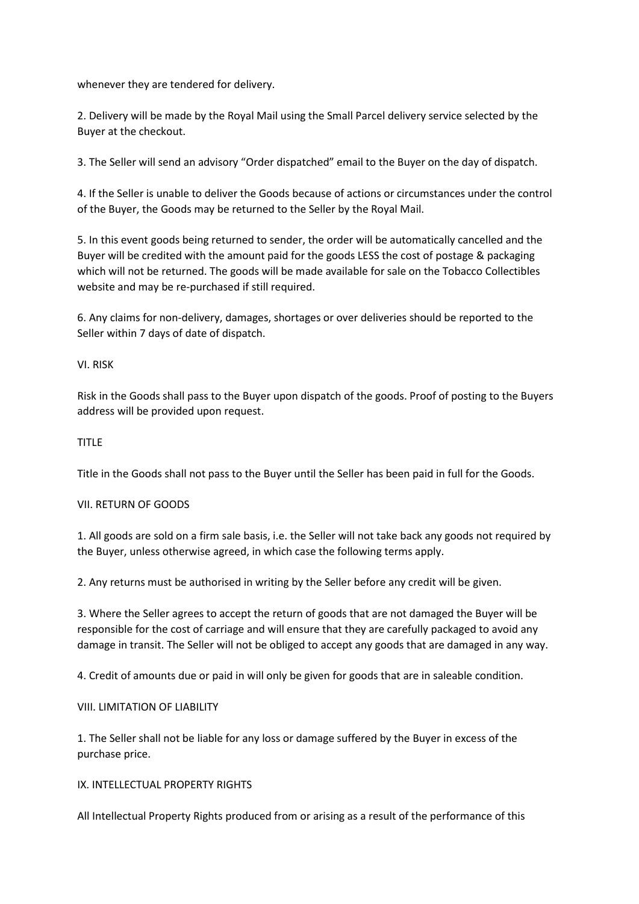whenever they are tendered for delivery.

2. Delivery will be made by the Royal Mail using the Small Parcel delivery service selected by the Buyer at the checkout.

3. The Seller will send an advisory "Order dispatched" email to the Buyer on the day of dispatch.

4. If the Seller is unable to deliver the Goods because of actions or circumstances under the control of the Buyer, the Goods may be returned to the Seller by the Royal Mail.

5. In this event goods being returned to sender, the order will be automatically cancelled and the Buyer will be credited with the amount paid for the goods LESS the cost of postage & packaging which will not be returned. The goods will be made available for sale on the Tobacco Collectibles website and may be re-purchased if still required.

6. Any claims for non-delivery, damages, shortages or over deliveries should be reported to the Seller within 7 days of date of dispatch.

## VI. RISK

Risk in the Goods shall pass to the Buyer upon dispatch of the goods. Proof of posting to the Buyers address will be provided upon request.

## TITLE

Title in the Goods shall not pass to the Buyer until the Seller has been paid in full for the Goods.

### VII. RETURN OF GOODS

1. All goods are sold on a firm sale basis, i.e. the Seller will not take back any goods not required by the Buyer, unless otherwise agreed, in which case the following terms apply.

2. Any returns must be authorised in writing by the Seller before any credit will be given.

3. Where the Seller agrees to accept the return of goods that are not damaged the Buyer will be responsible for the cost of carriage and will ensure that they are carefully packaged to avoid any damage in transit. The Seller will not be obliged to accept any goods that are damaged in any way.

4. Credit of amounts due or paid in will only be given for goods that are in saleable condition.

### VIII. LIMITATION OF LIABILITY

1. The Seller shall not be liable for any loss or damage suffered by the Buyer in excess of the purchase price.

### IX. INTELLECTUAL PROPERTY RIGHTS

All Intellectual Property Rights produced from or arising as a result of the performance of this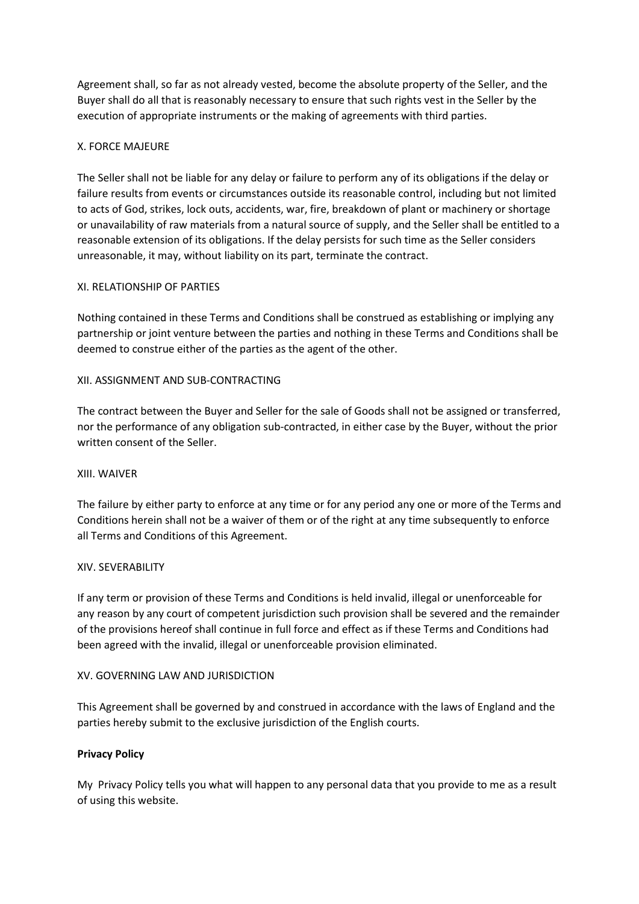Agreement shall, so far as not already vested, become the absolute property of the Seller, and the Buyer shall do all that is reasonably necessary to ensure that such rights vest in the Seller by the execution of appropriate instruments or the making of agreements with third parties.

# X. FORCE MAJEURE

The Seller shall not be liable for any delay or failure to perform any of its obligations if the delay or failure results from events or circumstances outside its reasonable control, including but not limited to acts of God, strikes, lock outs, accidents, war, fire, breakdown of plant or machinery or shortage or unavailability of raw materials from a natural source of supply, and the Seller shall be entitled to a reasonable extension of its obligations. If the delay persists for such time as the Seller considers unreasonable, it may, without liability on its part, terminate the contract.

### XI. RELATIONSHIP OF PARTIES

Nothing contained in these Terms and Conditions shall be construed as establishing or implying any partnership or joint venture between the parties and nothing in these Terms and Conditions shall be deemed to construe either of the parties as the agent of the other.

## XII. ASSIGNMENT AND SUB-CONTRACTING

The contract between the Buyer and Seller for the sale of Goods shall not be assigned or transferred, nor the performance of any obligation sub-contracted, in either case by the Buyer, without the prior written consent of the Seller.

### XIII. WAIVER

The failure by either party to enforce at any time or for any period any one or more of the Terms and Conditions herein shall not be a waiver of them or of the right at any time subsequently to enforce all Terms and Conditions of this Agreement.

### XIV. SEVERABILITY

If any term or provision of these Terms and Conditions is held invalid, illegal or unenforceable for any reason by any court of competent jurisdiction such provision shall be severed and the remainder of the provisions hereof shall continue in full force and effect as if these Terms and Conditions had been agreed with the invalid, illegal or unenforceable provision eliminated.

### XV. GOVERNING LAW AND JURISDICTION

This Agreement shall be governed by and construed in accordance with the laws of England and the parties hereby submit to the exclusive jurisdiction of the English courts.

### **Privacy Policy**

My Privacy Policy tells you what will happen to any personal data that you provide to me as a result of using this website.